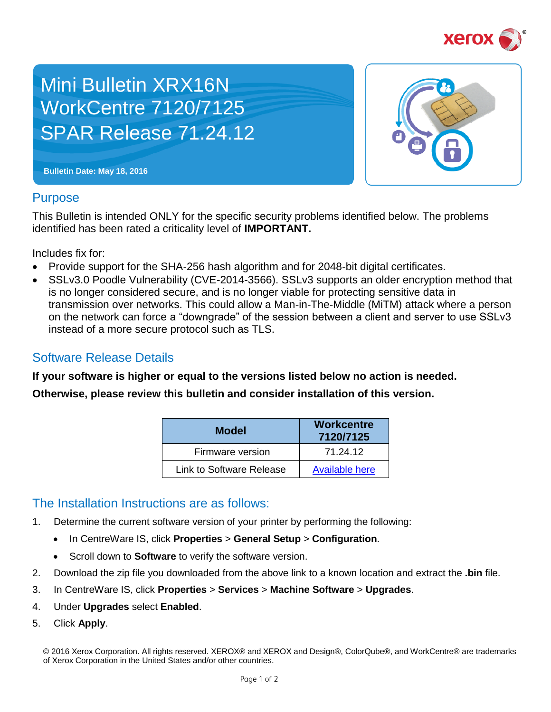

# Mini Bulletin XRX16N WorkCentre 7120/7125 SPAR Release 71.24.12



**Bulletin Date: May 18, 2016**

#### **Purpose**

This Bulletin is intended ONLY for the specific security problems identified below. The problems identified has been rated a criticality level of **IMPORTANT.** 

Includes fix for:

- Provide support for the SHA-256 hash algorithm and for 2048-bit digital certificates.
- SSLv3.0 Poodle Vulnerability (CVE-2014-3566). SSLv3 supports an older encryption method that is no longer considered secure, and is no longer viable for protecting sensitive data in transmission over networks. This could allow a Man-in-The-Middle (MiTM) attack where a person on the network can force a "downgrade" of the session between a client and server to use SSLv3 instead of a more secure protocol such as TLS.

### Software Release Details

**If your software is higher or equal to the versions listed below no action is needed.**

**Otherwise, please review this bulletin and consider installation of this version.** 

| <b>Model</b>             | <b>Workcentre</b><br>7120/7125 |
|--------------------------|--------------------------------|
| Firmware version         | 71.24.12                       |
| Link to Software Release | <b>Available here</b>          |

## The Installation Instructions are as follows:

- 1. Determine the current software version of your printer by performing the following:
	- In CentreWare IS, click **Properties** > **General Setup** > **Configuration**.
	- Scroll down to **Software** to verify the software version.
- 2. Download the zip file you downloaded from the above link to a known location and extract the **.bin** file.
- 3. In CentreWare IS, click **Properties** > **Services** > **Machine Software** > **Upgrades**.
- 4. Under **Upgrades** select **Enabled**.
- 5. Click **Apply**.

© 2016 Xerox Corporation. All rights reserved. XEROX® and XEROX and Design®, ColorQube®, and WorkCentre® are trademarks of Xerox Corporation in the United States and/or other countries.